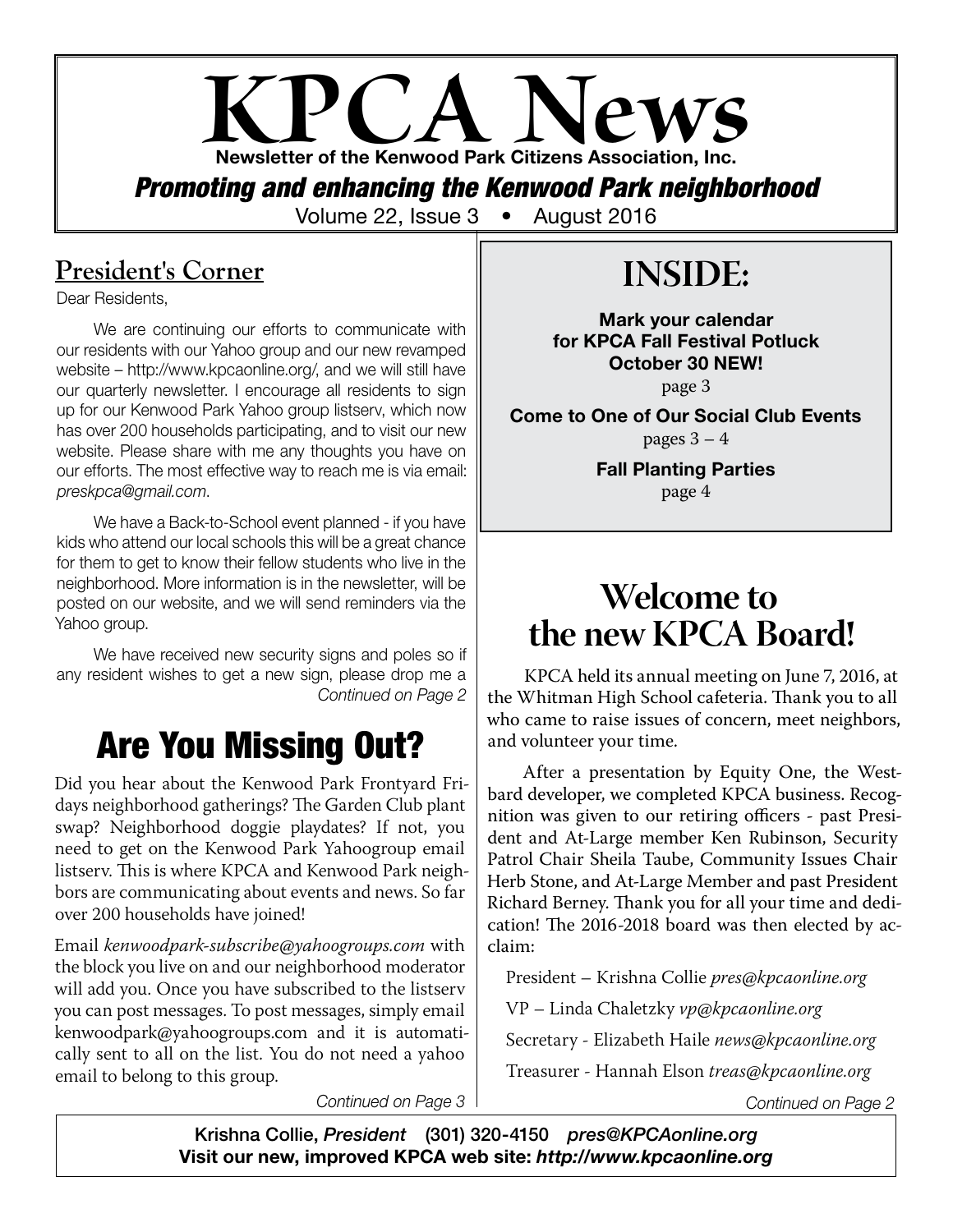# **KPCA News** Newsletter of the Kenwood Park Citizens Association, Inc.

*Promoting and enhancing the Kenwood Park neighborhood*

Volume 22, Issue 3 • August 2016

## **President's Corner**

Dear Residents,

We are continuing our efforts to communicate with our residents with our Yahoo group and our new revamped website – http://www.kpcaonline.org/, and we will still have our quarterly newsletter. I encourage all residents to sign up for our Kenwood Park Yahoo group listserv, which now has over 200 households participating, and to visit our new website. Please share with me any thoughts you have on our efforts. The most effective way to reach me is via email: *preskpca@gmail.com*.

We have a Back-to-School event planned - if you have kids who attend our local schools this will be a great chance for them to get to know their fellow students who live in the neighborhood. More information is in the newsletter, will be posted on our website, and we will send reminders via the Yahoo group.

We have received new security signs and poles so if any resident wishes to get a new sign, please drop me a *Continued on Page 2*

## Are You Missing Out?

Did you hear about the Kenwood Park Frontyard Fridays neighborhood gatherings? The Garden Club plant swap? Neighborhood doggie playdates? If not, you need to get on the Kenwood Park Yahoogroup email listserv. This is where KPCA and Kenwood Park neighbors are communicating about events and news. So far over 200 households have joined!

Email *kenwoodpark-subscribe@yahoogroups.com* with the block you live on and our neighborhood moderator will add you. Once you have subscribed to the listserv you can post messages. To post messages, simply email kenwoodpark@yahoogroups.com and it is automatically sent to all on the list. You do not need a yahoo email to belong to this group.

# **INSIDE:**

Mark your calendar for KPCA Fall Festival Potluck October 30 NEW!

page 3

Come to One of Our Social Club Events pages  $3 - 4$ 

> Fall Planting Parties page 4

## **Welcome to the new KPCA Board!**

KPCA held its annual meeting on June 7, 2016, at the Whitman High School cafeteria. Thank you to all who came to raise issues of concern, meet neighbors, and volunteer your time.

After a presentation by Equity One, the Westbard developer, we completed KPCA business. Recognition was given to our retiring officers - past President and At-Large member Ken Rubinson, Security Patrol Chair Sheila Taube, Community Issues Chair Herb Stone, and At-Large Member and past President Richard Berney. Thank you for all your time and dedication! The 2016-2018 board was then elected by acclaim:

President – Krishna Collie *pres@kpcaonline.org*

VP – Linda Chaletzky *vp@kpcaonline.org*

Secretary - Elizabeth Haile *news@kpcaonline.org*

Treasurer - Hannah Elson *treas@kpcaonline.org*

*Continued on Page 3 Continued on Page 2*

Krishna Collie, *President* (301) 320-4150 *pres@KPCAonline.org* Visit our new, improved KPCA web site: *http://www.kpcaonline.org*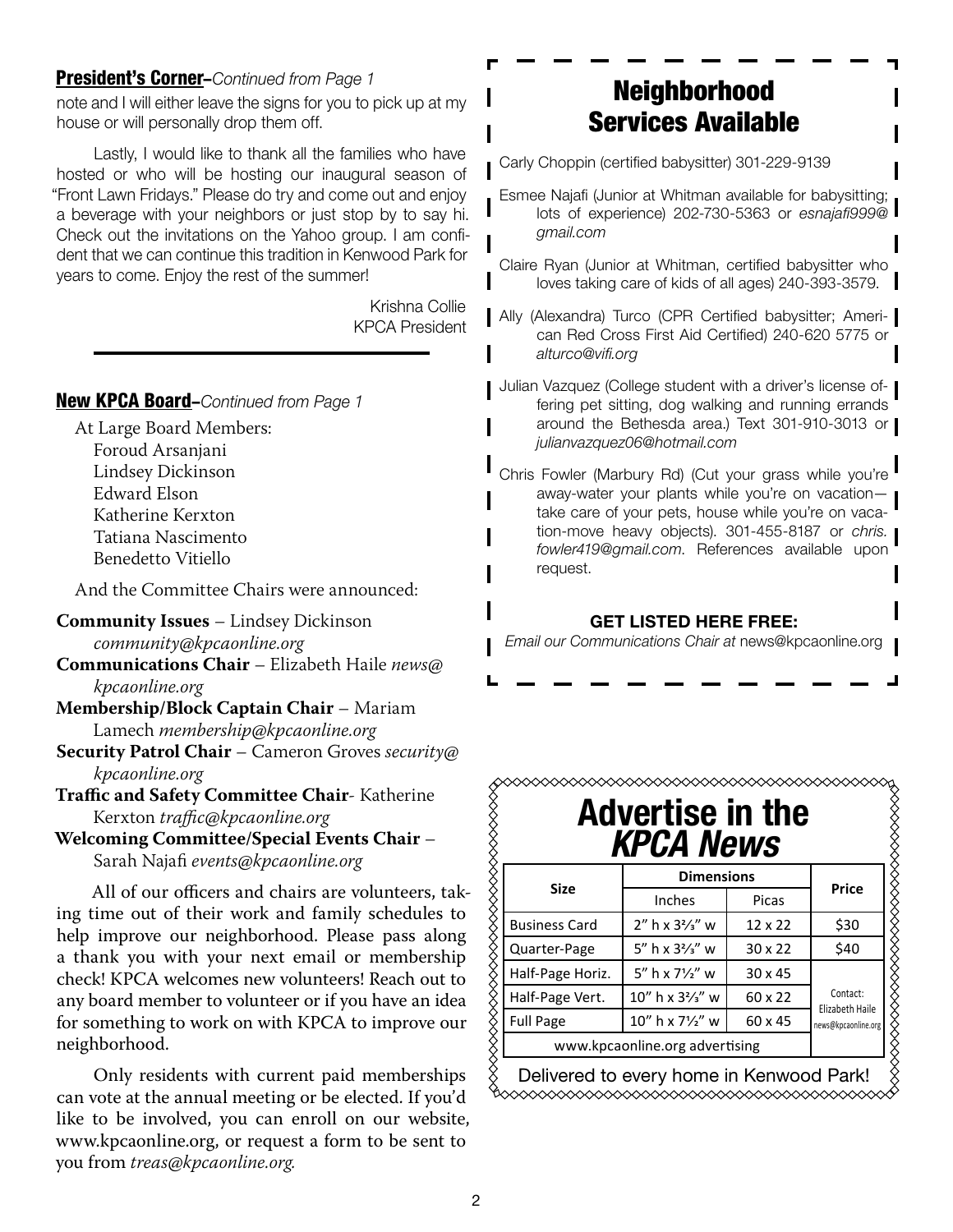#### President's Corner–*Continued from Page 1*

note and I will either leave the signs for you to pick up at my house or will personally drop them off.

Lastly, I would like to thank all the families who have hosted or who will be hosting our inaugural season of "Front Lawn Fridays." Please do try and come out and enjoy a beverage with your neighbors or just stop by to say hi. Check out the invitations on the Yahoo group. I am confident that we can continue this tradition in Kenwood Park for years to come. Enjoy the rest of the summer!

> Krishna Collie KPCA President

#### New KPCA Board–*Continued from Page 1*

At Large Board Members: Foroud Arsanjani Lindsey Dickinson Edward Elson Katherine Kerxton Tatiana Nascimento Benedetto Vitiello

And the Committee Chairs were announced:

**Community Issues** – Lindsey Dickinson *community@kpcaonline.org*

**Communications Chair** – Elizabeth Haile *news@ kpcaonline.org*

- **Membership/Block Captain Chair** Mariam Lamech *membership@kpcaonline.org*
- **Security Patrol Chair** Cameron Groves *security@ kpcaonline.org*

**Traffic and Safety Committee Chair**- Katherine Kerxton *traffic@kpcaonline.org*

**Welcoming Committee/Special Events Chair** – Sarah Najafi *events@kpcaonline.org*

All of our officers and chairs are volunteers, taking time out of their work and family schedules to help improve our neighborhood. Please pass along a thank you with your next email or membership check! KPCA welcomes new volunteers! Reach out to any board member to volunteer or if you have an idea for something to work on with KPCA to improve our neighborhood.

Only residents with current paid memberships can vote at the annual meeting or be elected. If you'd like to be involved, you can enroll on our website, www.kpcaonline.org, or request a form to be sent to you from *treas@kpcaonline.org.*

## Neighborhood Services Available

Carly Choppin (certified babysitter) 301-229-9139

- Esmee Najafi (Junior at Whitman available for babysitting; lots of experience) 202-730-5363 or *esnajafi999@ gmail.com*
- Claire Ryan (Junior at Whitman, certified babysitter who loves taking care of kids of all ages) 240-393-3579.
- Ally (Alexandra) Turco (CPR Certified babysitter; American Red Cross First Aid Certified) 240-620 5775 or *alturco@vifi.org*
- Julian Vazquez (College student with a driver's license offering pet sitting, dog walking and running errands around the Bethesda area.) Text 301-910-3013 or *julianvazquez06@hotmail.com*
- Chris Fowler (Marbury Rd) (Cut your grass while you're away-water your plants while you're on vacationtake care of your pets, house while you're on vacation-move heavy objects). 301-455-8187 or *chris. fowler419@gmail.com*. References available upon request.

#### GET LISTED HERE FREE:

*Email our Communications Chair at* news@kpcaonline.org

| <b>Advertise in the</b><br><b>KPCA News</b> |                                |                |                                                    |  |
|---------------------------------------------|--------------------------------|----------------|----------------------------------------------------|--|
| <b>Size</b>                                 | <b>Dimensions</b>              |                |                                                    |  |
|                                             | Inches                         | Picas          | Price                                              |  |
| <b>Business Card</b>                        | $2''$ h x $3\frac{2}{3}''$ w   | $12 \times 22$ | \$30                                               |  |
| Quarter-Page                                | 5" h x $3\frac{2}{3}$ " w      | $30 \times 22$ | \$40                                               |  |
| Half-Page Horiz.                            | $5''$ h x $7\frac{1}{2}''$ w   | $30 \times 45$ | Contact:<br>Elizabeth Haile<br>news@kpcaonline.org |  |
| Half-Page Vert.                             | $10''$ h x $3\frac{2}{3}''$ w  | 60 x 22        |                                                    |  |
| <b>Full Page</b>                            | 10" h x 71/2" w                | 60 x 45        |                                                    |  |
|                                             | www.kpcaonline.org advertising |                |                                                    |  |

Delivered to every home in Kenwood Park!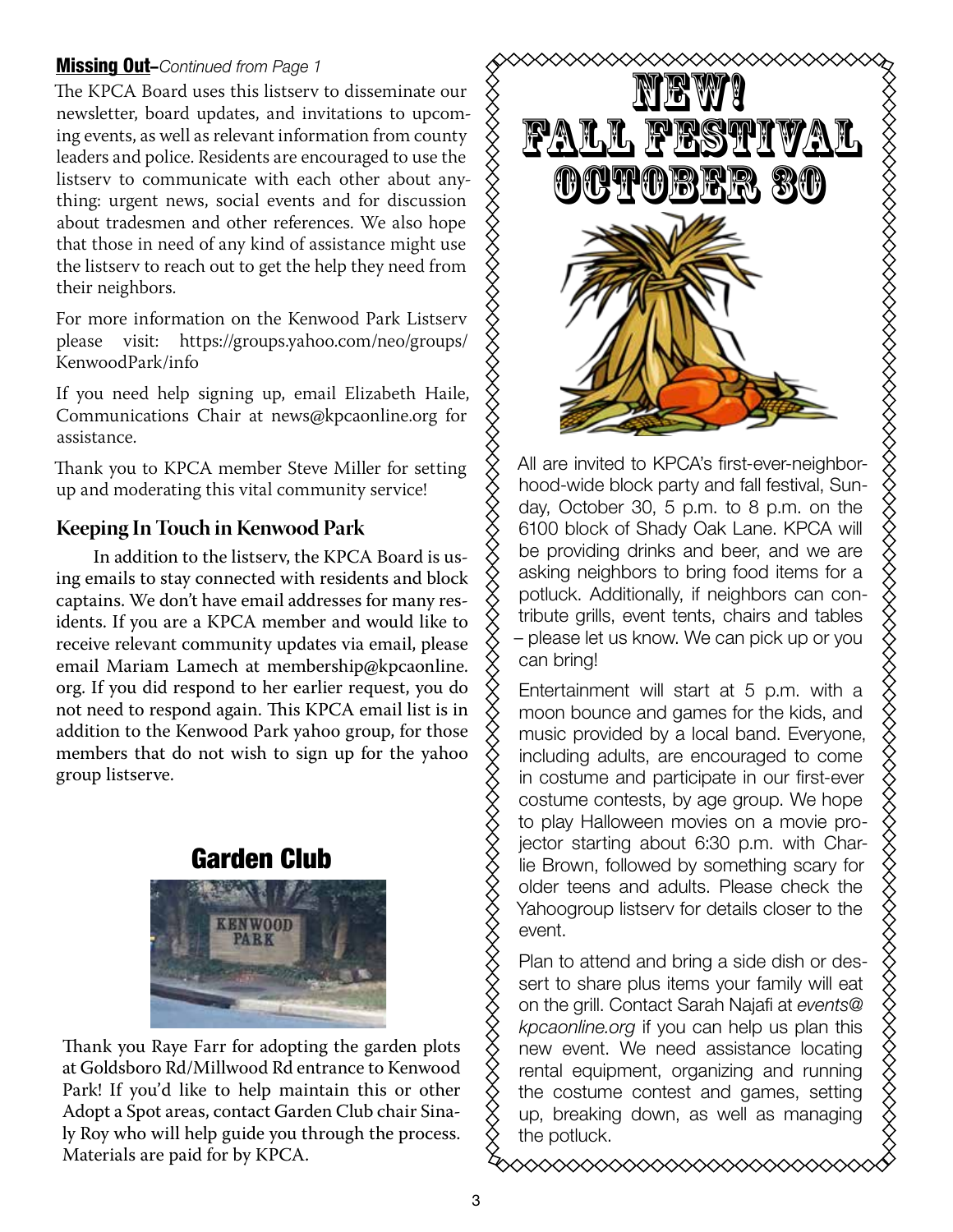#### Missing Out–*Continued from Page 1*

The KPCA Board uses this listserv to disseminate our newsletter, board updates, and invitations to upcoming events, as well as relevant information from county leaders and police. Residents are encouraged to use the listserv to communicate with each other about anything: urgent news, social events and for discussion **GRAPH?** about tradesmen and other references. We also hope that those in need of any kind of assistance might use the listserv to reach out to get the help they need from  $\begin{matrix} \diagup \end{matrix}$ their neighbors.

For more information on the Kenwood Park Listserv The KPCA Board would like to remind residents about our Security Patrol service that monitors our please visit: https://groups.yahoo.com/neo/groups/  $\sum$  / 1 KenwoodPark/info c: nttps://groups.yanoo.com/neo/

If you need help signing up, email Elizabeth Haile,  $\hat{\times}$ Communications Chair at news@kpcaonline.org for  $\diamondsuit$ assistance.  $h_{\text{H}}$  being the through provided by  $\lambda$ 

Thank you to KPCA member Steve Miller for setting  $\chi$  and are invited to NPC up and moderating this vital community service!  $\gamma$  filood-wide block

#### **Keeping In Touch in Kenwood Park**

In addition to the listserv, the KPCA Board is us- $\Diamond$  be providing different ing emails to stay connected with residents and block  $\chi$ <sup>asking</sup> rieignors to r captains. We don't have email addresses for many res-  $\bigotimes_{n=1}^\infty$  potluck. Addi idents. If you are a KPCA member and would like to  $\delta \over 8$  tril receive relevant community updates via email, please  $\chi$  = please let us KHOW. email Mariam Lamech at membership@kpcaonline.  $\,\breve{\diamond}\,$ org. If you did respond to her earlier request, you do not need to respond again. This KPCA email list is in addition to the Kenwood Park yahoo group, for those members that do not wish to sign up for the yahoo group listserve.

## Garden Club



Thank you Raye Farr for adopting the garden plots at Goldsboro Rd/Millwood Rd entrance to Kenwood Park! If you'd like to help maintain this or other Adopt a Spot areas, contact Garden Club chair Sinaly Roy who will help guide you through the process. Materials are paid for by KPCA.



PCA member Steve Miller for setting  $\overrightarrow{X}$  All are invited to KPCA's first-ever-neighborhood-wide block party and fall festival, Sunday, October 30, 5 p.m. to 8 p.m. on the 6100 block of Shady Oak Lane. KPCA will tion to the listsery the KPCA Board is us-  $\hat{\times}$  be providing drinks and beer, and we are asking neighbors to bring food items for a potluck. Additionally, if neighbors can contribute grills, event tents, chairs and tables – please let us know. We can pick up or you can bring!

Entertainment will start at 5 p.m. with a moon bounce and games for the kids, and music provided by a local band. Everyone,  $\frac{1}{2}$  including adults, are encouraged to come in costume and participate in our first-ever  $\gamma$  costume contests, by age group. We hope  $\bigtimes\atop{\bigtimes}$  to play Halloween movies on a movie pro-**Cordon Club**  $\left\{\right\}$  jector starting about 6:30 p.m. with Charlie Brown, followed by something scary for older teens and adults. Please check the Yahoogroup listserv for details closer to the event.

> Plan to attend and bring a side dish or dessert to share plus items your family will eat on the grill. Contact Sarah Najafi at *events@ kpcaonline.org* if you can help us plan this new event. We need assistance locating rental equipment, organizing and running  $\tanh$  tain this or other  $\left\{\begin{matrix} 2 \\ 4 \end{matrix}\right\}$  the costume contest and games, setting up, breaking down, as well as managing the potluck.

> > დ∞∞∞∞∞∞∞∞∞∞∞∞∞∞∞∞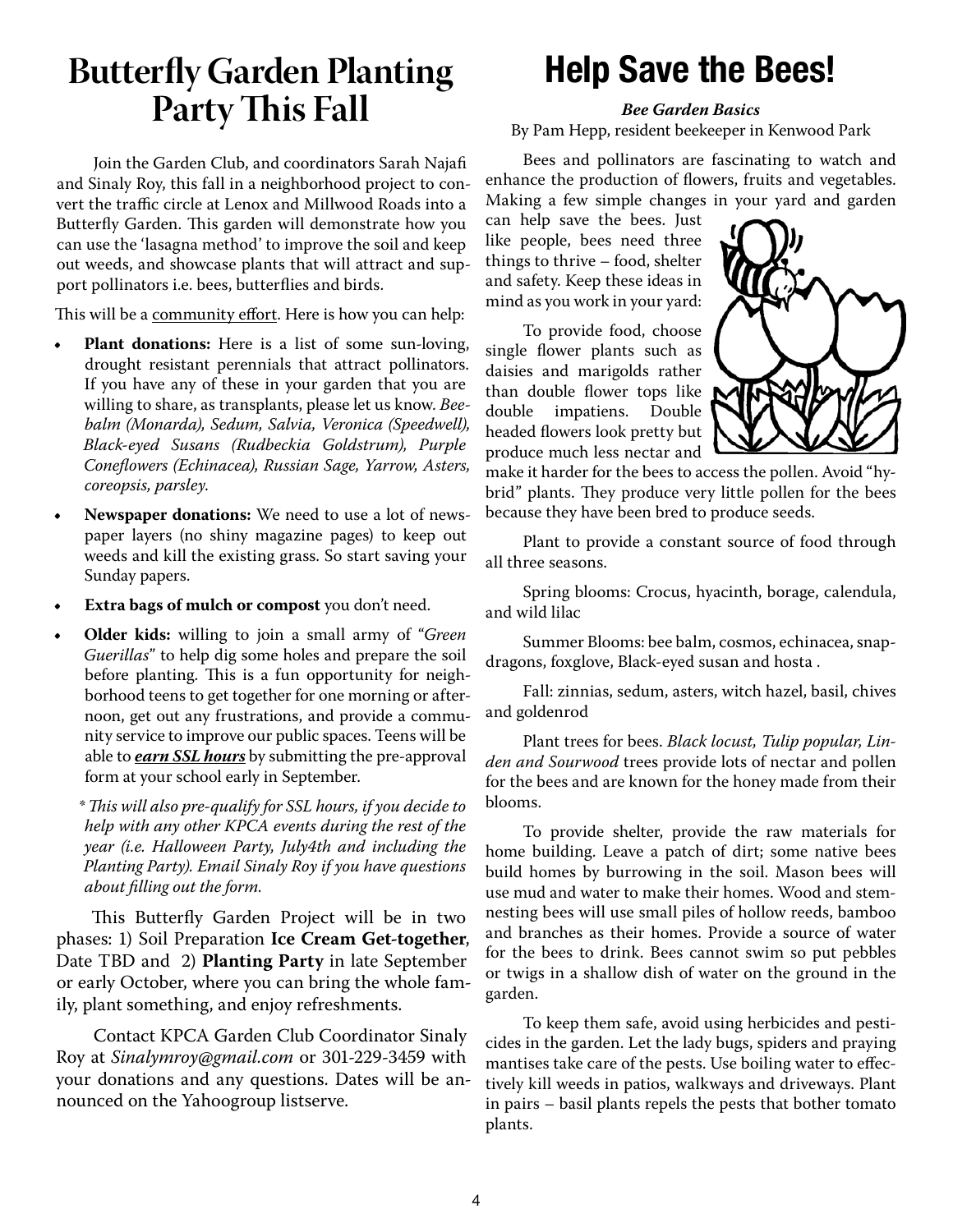## **Butterfly Garden Planting Party This Fall**

Join the Garden Club, and coordinators Sarah Najafi and Sinaly Roy, this fall in a neighborhood project to convert the traffic circle at Lenox and Millwood Roads into a Butterfly Garden. This garden will demonstrate how you can use the 'lasagna method' to improve the soil and keep out weeds, and showcase plants that will attract and support pollinators i.e. bees, butterflies and birds.

This will be a community effort. Here is how you can help:

- **• Plant donations:** Here is a list of some sun-loving, drought resistant perennials that attract pollinators. If you have any of these in your garden that you are willing to share, as transplants, please let us know. *Beebalm (Monarda), Sedum, Salvia, Veronica (Speedwell), Black-eyed Susans (Rudbeckia Goldstrum), Purple Coneflowers (Echinacea), Russian Sage, Yarrow, Asters, coreopsis, parsley*.
- **• Newspaper donations:** We need to use a lot of newspaper layers (no shiny magazine pages) to keep out weeds and kill the existing grass. So start saving your Sunday papers.
- **• Extra bags of mulch or compost** you don't need.
- **• Older kids:** willing to join a small army of "*Green Guerillas*" to help dig some holes and prepare the soil before planting. This is a fun opportunity for neighborhood teens to get together for one morning or afternoon, get out any frustrations, and provide a community service to improve our public spaces. Teens will be able to *earn SSL hours* by submitting the pre-approval form at your school early in September.

*\* This will also pre-qualify for SSL hours, if you decide to help with any other KPCA events during the rest of the year (i.e. Halloween Party, July4th and including the Planting Party). Email Sinaly Roy if you have questions about filling out the form.*

This Butterfly Garden Project will be in two phases: 1) Soil Preparation **Ice Cream Get-together**, Date TBD and 2) **Planting Party** in late September or early October, where you can bring the whole family, plant something, and enjoy refreshments.

Contact KPCA Garden Club Coordinator Sinaly Roy at *Sinalymroy@gmail.com* or 301-229-3459 with your donations and any questions. Dates will be announced on the Yahoogroup listserve.

## Help Save the Bees!

*Bee Garden Basics*

By Pam Hepp, resident beekeeper in Kenwood Park

Bees and pollinators are fascinating to watch and enhance the production of flowers, fruits and vegetables. Making a few simple changes in your yard and garden

can help save the bees. Just like people, bees need three things to thrive – food, shelter and safety. Keep these ideas in mind as you work in your yard:

To provide food, choose single flower plants such as daisies and marigolds rather than double flower tops like double impatiens. Double headed flowers look pretty but produce much less nectar and



make it harder for the bees to access the pollen. Avoid "hybrid" plants. They produce very little pollen for the bees because they have been bred to produce seeds.

Plant to provide a constant source of food through all three seasons.

Spring blooms: Crocus, hyacinth, borage, calendula, and wild lilac

Summer Blooms: bee balm, cosmos, echinacea, snapdragons, foxglove, Black-eyed susan and hosta .

Fall: zinnias, sedum, asters, witch hazel, basil, chives and goldenrod

Plant trees for bees. *Black locust, Tulip popular, Linden and Sourwood* trees provide lots of nectar and pollen for the bees and are known for the honey made from their blooms.

To provide shelter, provide the raw materials for home building. Leave a patch of dirt; some native bees build homes by burrowing in the soil. Mason bees will use mud and water to make their homes. Wood and stemnesting bees will use small piles of hollow reeds, bamboo and branches as their homes. Provide a source of water for the bees to drink. Bees cannot swim so put pebbles or twigs in a shallow dish of water on the ground in the garden.

To keep them safe, avoid using herbicides and pesticides in the garden. Let the lady bugs, spiders and praying mantises take care of the pests. Use boiling water to effectively kill weeds in patios, walkways and driveways. Plant in pairs – basil plants repels the pests that bother tomato plants.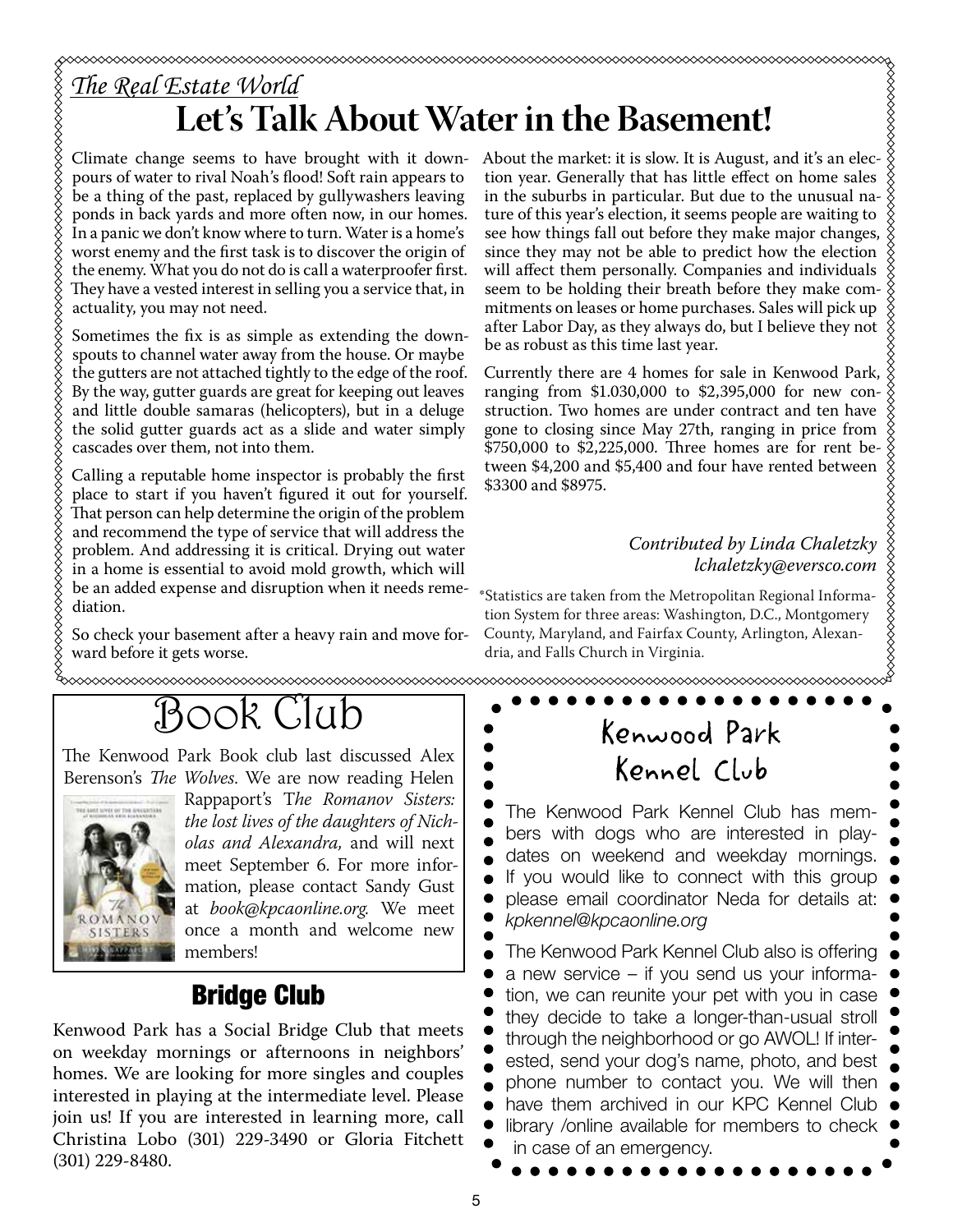pours of water to rival Noah's flood! Soft rain appears to be a thing of the past, replaced by gullywashers leaving ponds in back yards and more often now, in our homes. In a panic we don't know where to turn. Water is a home's worst enemy and the first task is to discover the origin of the enemy. What you do not do is call a waterproofer first. They have a vested interest in selling you a service that, in actuality, you may not need.

Sometimes the fix is as simple as extending the downspouts to channel water away from the house. Or maybe the gutters are not attached tightly to the edge of the roof. By the way, gutter guards are great for keeping out leaves and little double samaras (helicopters), but in a deluge the solid gutter guards act as a slide and water simply cascades over them, not into them.

Calling a reputable home inspector is probably the first place to start if you haven't figured it out for yourself. That person can help determine the origin of the problem and recommend the type of service that will address the problem. And addressing it is critical. Drying out water in a home is essential to avoid mold growth, which will be an added expense and disruption when it needs remediation.

So check your basement after a heavy rain and move forward before it gets worse.

About the market: it is slow. It is August, and it's an election year. Generally that has little effect on home sales in the suburbs in particular. But due to the unusual nature of this year's election, it seems people are waiting to see how things fall out before they make major changes, since they may not be able to predict how the election will affect them personally. Companies and individuals seem to be holding their breath before they make commitments on leases or home purchases. Sales will pick up after Labor Day, as they always do, but I believe they not be as robust as this time last year.

Currently there are 4 homes for sale in Kenwood Park, ranging from \$1.030,000 to \$2,395,000 for new construction. Two homes are under contract and ten have gone to closing since May 27th, ranging in price from \$750,000 to \$2,225,000. Three homes are for rent between \$4,200 and \$5,400 and four have rented between \$3300 and \$8975.

# *Contributed by Linda Chaletzky lchaletzky@eversco.com*

\*Statistics are taken from the Metropolitan Regional Information System for three areas: Washington, D.C., Montgomery County, Maryland, and Fairfax County, Arlington, Alexandria, and Falls Church in Virginia.

# Book Club

The Kenwood Park Book club last discussed Alex Berenson's *The Wolves*. We are now reading Helen



Rappaport's T*he Romanov Sisters: the lost lives of the daughters of Nicholas and Alexandra,* and will next meet September 6. For more information, please contact Sandy Gust at *book@kpcaonline.org.* We meet once a month and welcome new members!

## Bridge Club

Kenwood Park has a Social Bridge Club that meets on weekday mornings or afternoons in neighbors' homes. We are looking for more singles and couples interested in playing at the intermediate level. Please join us! If you are interested in learning more, call Christina Lobo (301) 229-3490 or Gloria Fitchett (301) 229-8480.

Kenwood Park Kennel Club

The Kenwood Park Kennel Club has members with dogs who are interested in playdates on weekend and weekday mornings. If you would like to connect with this group please email coordinator Neda for details at: *kpkennel@kpcaonline.org* The Kenwood Park Kennel Club also is offering a new service – if you send us your informa-

tion, we can reunite your pet with you in case they decide to take a longer-than-usual stroll through the neighborhood or go AWOL! If interested, send your dog's name, photo, and best phone number to contact you. We will then have them archived in our KPC Kennel Club library /online available for members to check in case of an emergency.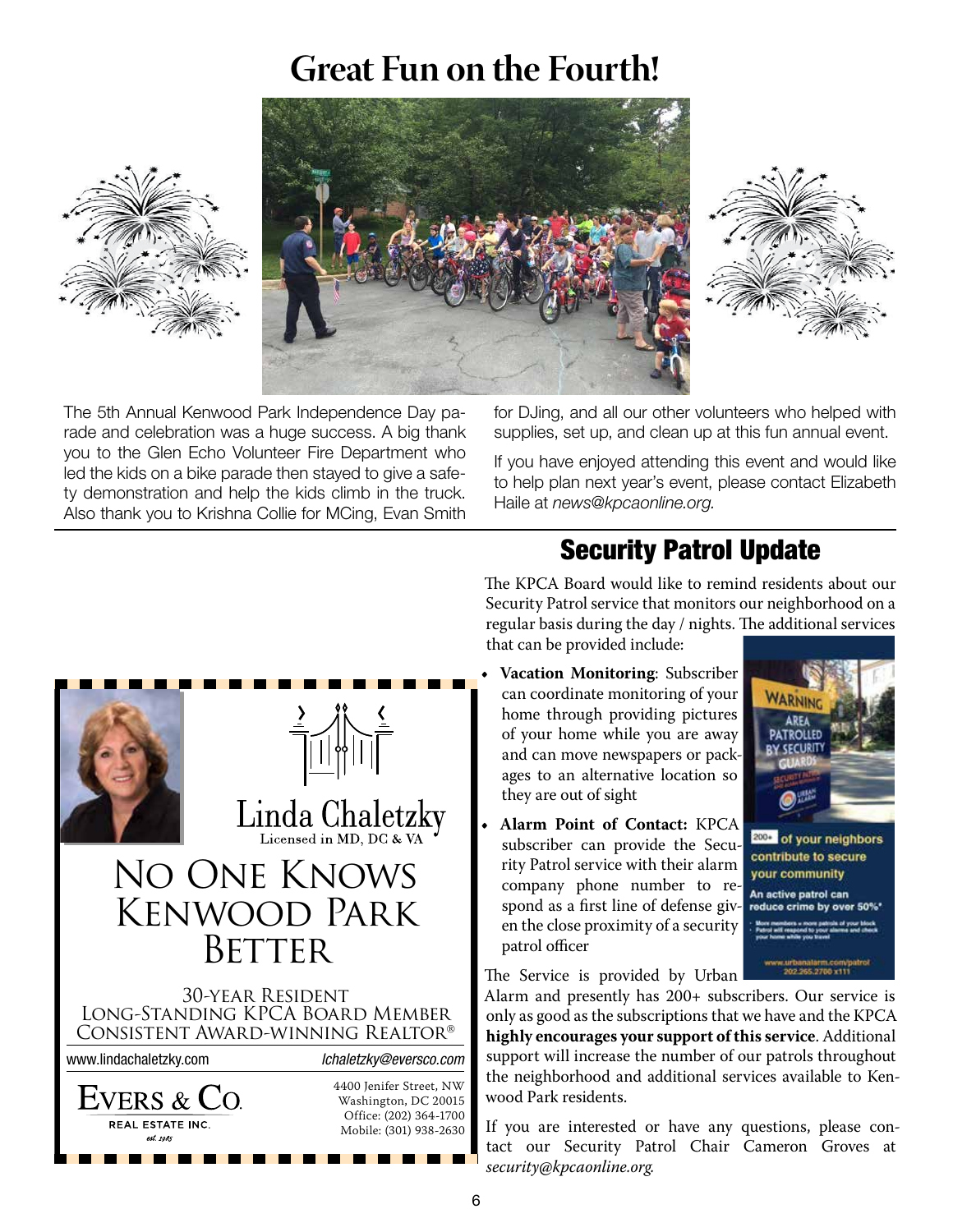#### **Transformation in the Safety Article**<br> **Transformation Security Patrol Catalogue Great Fun on the Fourth!**







*KPCA News* The 5th Annual Kenwood Park Independence Day pa-Fical to the Glen Echo Volunteer Fire Department who **the stage of the set of the set and would like** rade and celebration was a huge success. A big thank business Card 2 kg parado and help the kids climb in the truck. Also thank you to Krishna Collie for MCing, Evan Smith led the kids on a bike parade then stayed to give a safe-

Half-Page Horiz. 5" h x 71/2" w 30 x 45

for DJing, and all our other volunteers who helped with s. Deling, eite ein der denen Volentidere Trite troppe. The<br>supplies, set up, and clean up at this fun annual event. wood this Spring. This Spring. These digital signs server as a de-

If you have enjoyed attending this event and would like to help plan next year's event, please contact Elizabeth<br>Llaila et neuro©(meeenline ere Haile at *news@kpcaonline.org.* 

#### Security Patrol lIndate **Security Patrol Update**

The KPCA Board would like to remind residents about our Security Patrol service that monitors our neighborhood on a<br> regular basis during the day / nights. The additional services that can be provided include:



• **Vacation Monitoring**: Subscriber **•• <b>Vacation** Monitoring: Subscriber  $\frac{3}{2}$   $\sqrt[3]{\phantom{a}^2}$   $\frac{6}{2}$  home through providing pictures area  $\frac{1}{\sqrt{2}}$  of your home while you are away ages to an alternative location so  $\frac{1}{\sqrt{2}}$ they are out of sight and can move newspapers or pack-

> • Alarm Point of Contact: KPCA subscriber can provide the Secu- $\frac{1}{2}$  we are the company phone number to re-<br> $\frac{1}{2}$  an active patrol can spond as a first line of defense given the close proximity of a security  $\frac{1}{2}$ rity Patrol service with their alarm patrol officer

 $\alpha$  are always interested in the second interest in the second interest in  $\alpha$ the service is provided by Urban

concerns to Committee Chair, Committee Chair, Committee Chair, Katherine Kerxton, Katherine Kerxton, Katherine Kerxton, Chair, Kerxton, Chair, Kerxton, Chair, Kerxton, Chair, Kerxton, Chair, Kerxton, Chair, Kerxton, Chair, only as good as the subsemptions that we have and the Kr CA support will increase the number of our patrols throughout the neighborhood and additional services available to Kenwood Park residents. Alarm and presently has 200+ subscribers. Our service is only as good as the subscriptions that we have and the KPCA

If you are interested or have any questions, please contact our Security Patrol Chair Cameron Groves at *security@kpcaonline.org.*  $\text{Mobile: (301) } 938-2630$  If you are interested of have any questions, please C **THE ROY CONTACT CONTACT GARDEN CLUB CONTACT GARDEN CONTACT SINCLUS CONTACT CONTACT CONTACT CONTACT CONTACT CONTACT CONTACT CONTACT CONTACT CONTACT CONTACT CONTACT CONTACT CONTACT CONTACT CONTACT CONTACT CONTACT CONTACT C**  $p_{\rm{c}}$ 



contribute to secure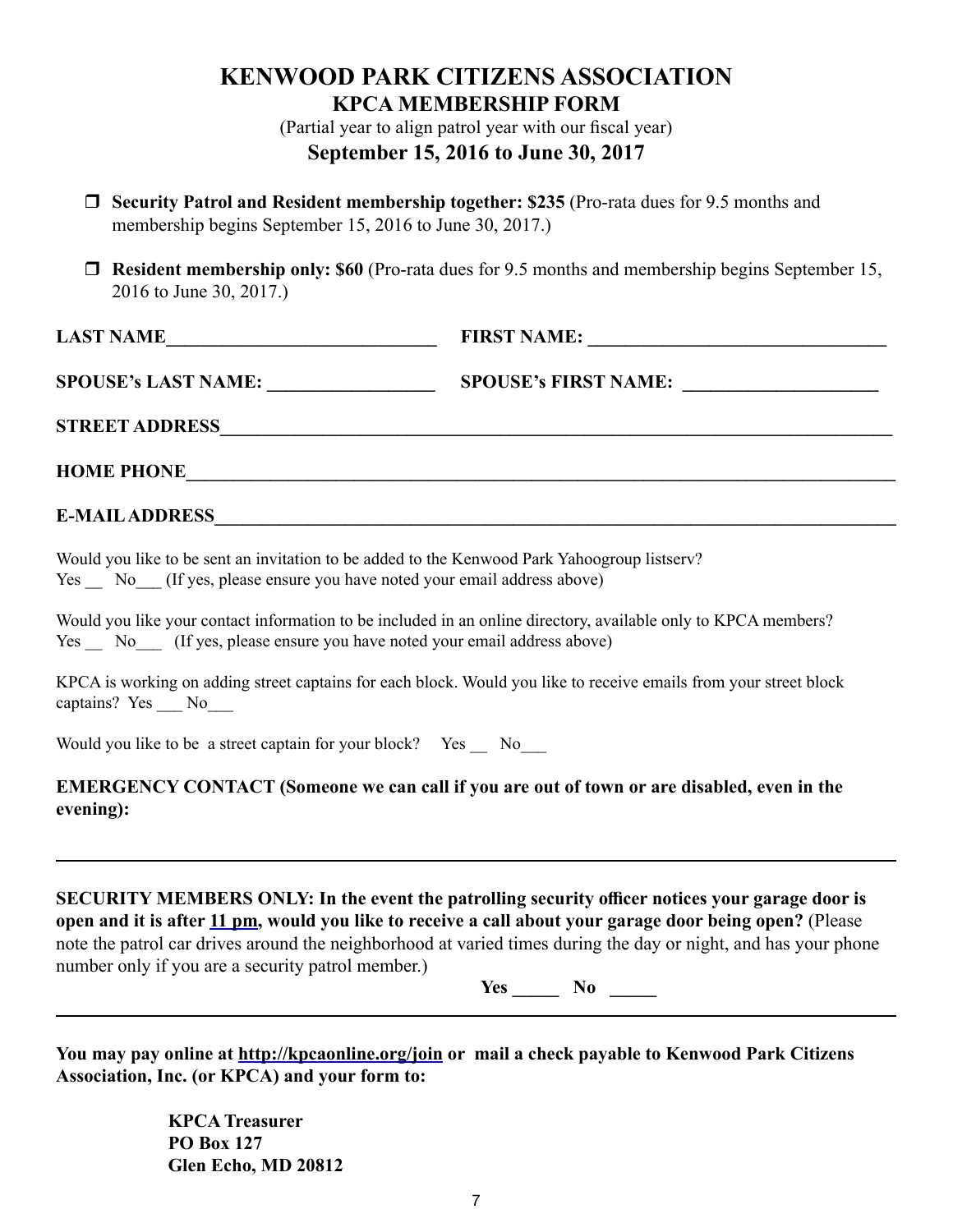### **KENWOOD PARK CITIZENS ASSOCIATION KPCA MEMBERSHIP FORM**

(Partial year to align patrol year with our fiscal year) **September 15, 2016 to June 30, 2017**

- **Security Patrol and Resident membership together: \$235** (Pro-rata dues for 9.5 months and membership begins September 15, 2016 to June 30, 2017.)
- **Resident membership only: \$60** (Pro-rata dues for 9.5 months and membership begins September 15, 2016 to June 30, 2017.)

| <b>LAST NAME</b>           | <b>FIRST NAME:</b>          |  |
|----------------------------|-----------------------------|--|
| <b>SPOUSE's LAST NAME:</b> | <b>SPOUSE's FIRST NAME:</b> |  |

**STREET ADDRESS\_\_\_\_\_\_\_\_\_\_\_\_\_\_\_\_\_\_\_\_\_\_\_\_\_\_\_\_\_\_\_\_\_\_\_\_\_\_\_\_\_\_\_\_\_\_\_\_\_\_\_\_\_\_\_\_\_\_\_\_\_\_\_\_\_\_\_\_\_\_\_\_**

**HOME PHONE** 

#### **E-MAIL ADDRESS\_\_\_\_\_\_\_\_\_\_\_\_\_\_\_\_\_\_\_\_\_\_\_\_\_\_\_\_\_\_\_\_\_\_\_\_\_\_\_\_\_\_\_\_\_\_\_\_\_\_\_\_\_\_\_\_\_\_\_\_\_\_\_\_\_\_\_\_\_\_\_\_\_**

Would you like to be sent an invitation to be added to the Kenwood Park Yahoogroup listserv? Yes No (If yes, please ensure you have noted your email address above)

Would you like your contact information to be included in an online directory, available only to KPCA members? Yes \_\_ No\_\_\_ (If yes, please ensure you have noted your email address above)

KPCA is working on adding street captains for each block. Would you like to receive emails from your street block captains? Yes No

Would you like to be a street captain for your block? Yes No

#### **EMERGENCY CONTACT (Someone we can call if you are out of town or are disabled, even in the evening):**

**SECURITY MEMBERS ONLY: In the event the patrolling security officer notices your garage door is open and it is after 11 pm, would you like to receive a call about your garage door being open?** (Please note the patrol car drives around the neighborhood at varied times during the day or night, and has your phone number only if you are a security patrol member.)

**Yes \_\_\_\_\_ No \_\_\_\_\_**

**You may pay online at http://kpcaonline.org/join or mail a check payable to Kenwood Park Citizens Association, Inc. (or KPCA) and your form to:** 

> **KPCA Treasurer PO Box 127 Glen Echo, MD 20812**